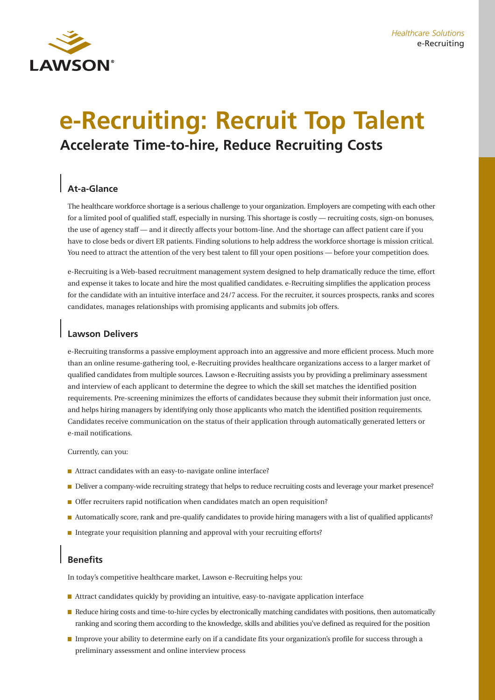

# **e-Recruiting: Recruit Top Talent Accelerate Time-to-hire, Reduce Recruiting Costs**

# **At-a-Glance**

The healthcare workforce shortage is a serious challenge to your organization. Employers are competing with each other for a limited pool of qualified staff, especially in nursing. This shortage is costly — recruiting costs, sign-on bonuses, the use of agency staff — and it directly affects your bottom-line. And the shortage can affect patient care if you have to close beds or divert ER patients. Finding solutions to help address the workforce shortage is mission critical. You need to attract the attention of the very best talent to fill your open positions — before your competition does.

e-Recruiting is a Web-based recruitment management system designed to help dramatically reduce the time, effort and expense it takes to locate and hire the most qualified candidates. e-Recruiting simplifies the application process for the candidate with an intuitive interface and 24/7 access. For the recruiter, it sources prospects, ranks and scores candidates, manages relationships with promising applicants and submits job offers.

## **Lawson Delivers**

e-Recruiting transforms a passive employment approach into an aggressive and more efficient process. Much more than an online resume-gathering tool, e-Recruiting provides healthcare organizations access to a larger market of qualified candidates from multiple sources. Lawson e-Recruiting assists you by providing a preliminary assessment and interview of each applicant to determine the degree to which the skill set matches the identified position requirements. Pre-screening minimizes the efforts of candidates because they submit their information just once, and helps hiring managers by identifying only those applicants who match the identified position requirements. Candidates receive communication on the status of their application through automatically generated letters or e-mail notifications.

Currently, can you:

- Attract candidates with an easy-to-navigate online interface?
- Deliver a company-wide recruiting strategy that helps to reduce recruiting costs and leverage your market presence?
- Offer recruiters rapid notification when candidates match an open requisition?
- Automatically score, rank and pre-qualify candidates to provide hiring managers with a list of qualified applicants?
- Integrate your requisition planning and approval with your recruiting efforts?

# **Benefits**

In today's competitive healthcare market, Lawson e-Recruiting helps you:

- **Attract candidates quickly by providing an intuitive, easy-to-navigate application interface**
- Reduce hiring costs and time-to-hire cycles by electronically matching candidates with positions, then automatically ranking and scoring them according to the knowledge, skills and abilities you've defined as required for the position
- Improve your ability to determine early on if a candidate fits your organization's profile for success through a preliminary assessment and online interview process